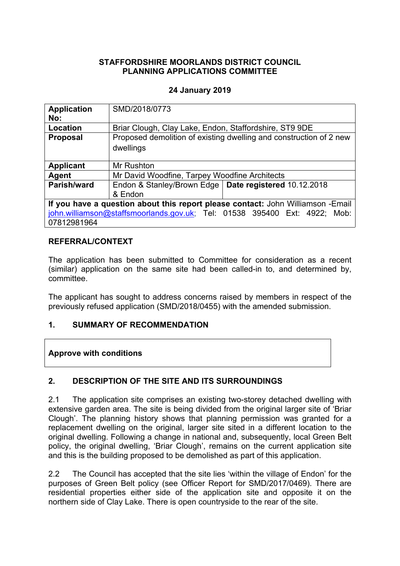### **STAFFORDSHIRE MOORLANDS DISTRICT COUNCIL PLANNING APPLICATIONS COMMITTEE**

### **24 January 2019**

| <b>Application</b>                                                              | SMD/2018/0773                                                      |  |
|---------------------------------------------------------------------------------|--------------------------------------------------------------------|--|
| No:                                                                             |                                                                    |  |
| Location                                                                        | Briar Clough, Clay Lake, Endon, Staffordshire, ST9 9DE             |  |
| <b>Proposal</b>                                                                 | Proposed demolition of existing dwelling and construction of 2 new |  |
|                                                                                 | dwellings                                                          |  |
|                                                                                 |                                                                    |  |
| <b>Applicant</b>                                                                | Mr Rushton                                                         |  |
| Agent                                                                           | Mr David Woodfine, Tarpey Woodfine Architects                      |  |
| Parish/ward                                                                     | Endon & Stanley/Brown Edge   Date registered 10.12.2018            |  |
|                                                                                 | & Endon                                                            |  |
| If you have a question about this report please contact: John Williamson -Email |                                                                    |  |
| john.williamson@staffsmoorlands.gov.uk; Tel: 01538 395400 Ext: 4922; Mob:       |                                                                    |  |
| 07812981964                                                                     |                                                                    |  |

### **REFERRAL/CONTEXT**

The application has been submitted to Committee for consideration as a recent (similar) application on the same site had been called-in to, and determined by, committee.

The applicant has sought to address concerns raised by members in respect of the previously refused application (SMD/2018/0455) with the amended submission.

### **1. SUMMARY OF RECOMMENDATION**

**Approve with conditions**

### **2. DESCRIPTION OF THE SITE AND ITS SURROUNDINGS**

2.1 The application site comprises an existing two-storey detached dwelling with extensive garden area. The site is being divided from the original larger site of 'Briar Clough'. The planning history shows that planning permission was granted for a replacement dwelling on the original, larger site sited in a different location to the original dwelling. Following a change in national and, subsequently, local Green Belt policy, the original dwelling, 'Briar Clough', remains on the current application site and this is the building proposed to be demolished as part of this application.

2.2 The Council has accepted that the site lies 'within the village of Endon' for the purposes of Green Belt policy (see Officer Report for SMD/2017/0469). There are residential properties either side of the application site and opposite it on the northern side of Clay Lake. There is open countryside to the rear of the site.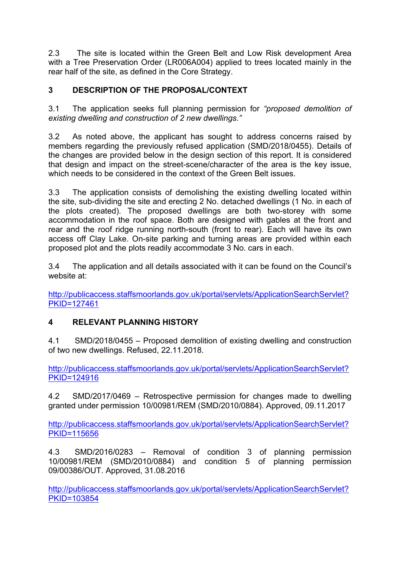2.3 The site is located within the Green Belt and Low Risk development Area with a Tree Preservation Order (LR006A004) applied to trees located mainly in the rear half of the site, as defined in the Core Strategy.

# **3 DESCRIPTION OF THE PROPOSAL/CONTEXT**

3.1 The application seeks full planning permission for *"proposed demolition of existing dwelling and construction of 2 new dwellings."*

3.2 As noted above, the applicant has sought to address concerns raised by members regarding the previously refused application (SMD/2018/0455). Details of the changes are provided below in the design section of this report. It is considered that design and impact on the street-scene/character of the area is the key issue, which needs to be considered in the context of the Green Belt issues.

3.3 The application consists of demolishing the existing dwelling located within the site, sub-dividing the site and erecting 2 No. detached dwellings (1 No. in each of the plots created). The proposed dwellings are both two-storey with some accommodation in the roof space. Both are designed with gables at the front and rear and the roof ridge running north-south (front to rear). Each will have its own access off Clay Lake. On-site parking and turning areas are provided within each proposed plot and the plots readily accommodate 3 No. cars in each.

3.4 The application and all details associated with it can be found on the Council's website at:

[http://publicaccess.staffsmoorlands.gov.uk/portal/servlets/ApplicationSearchServlet?](http://publicaccess.staffsmoorlands.gov.uk/portal/servlets/ApplicationSearchServlet?PKID=127461) [PKID=127461](http://publicaccess.staffsmoorlands.gov.uk/portal/servlets/ApplicationSearchServlet?PKID=127461)

# **4 RELEVANT PLANNING HISTORY**

4.1 SMD/2018/0455 – Proposed demolition of existing dwelling and construction of two new dwellings. Refused, 22.11.2018.

[http://publicaccess.staffsmoorlands.gov.uk/portal/servlets/ApplicationSearchServlet?](http://publicaccess.staffsmoorlands.gov.uk/portal/servlets/ApplicationSearchServlet?PKID=124916) [PKID=124916](http://publicaccess.staffsmoorlands.gov.uk/portal/servlets/ApplicationSearchServlet?PKID=124916)

4.2 SMD/2017/0469 – Retrospective permission for changes made to dwelling granted under permission 10/00981/REM (SMD/2010/0884). Approved, 09.11.2017

[http://publicaccess.staffsmoorlands.gov.uk/portal/servlets/ApplicationSearchServlet?](http://publicaccess.staffsmoorlands.gov.uk/portal/servlets/ApplicationSearchServlet?PKID=115656) [PKID=115656](http://publicaccess.staffsmoorlands.gov.uk/portal/servlets/ApplicationSearchServlet?PKID=115656)

4.3 SMD/2016/0283 – Removal of condition 3 of planning permission 10/00981/REM (SMD/2010/0884) and condition 5 of planning permission 09/00386/OUT. Approved, 31.08.2016

[http://publicaccess.staffsmoorlands.gov.uk/portal/servlets/ApplicationSearchServlet?](http://publicaccess.staffsmoorlands.gov.uk/portal/servlets/ApplicationSearchServlet?PKID=103854) [PKID=103854](http://publicaccess.staffsmoorlands.gov.uk/portal/servlets/ApplicationSearchServlet?PKID=103854)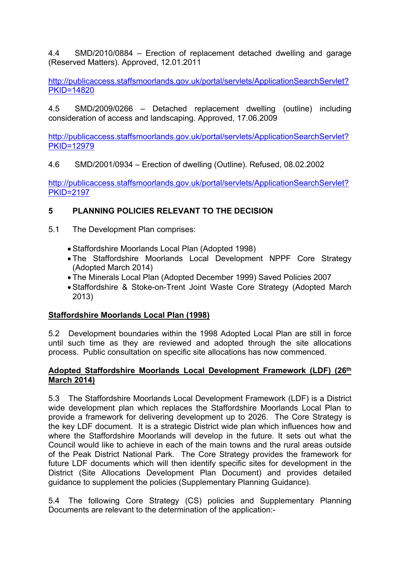4.4 SMD/2010/0884 – Erection of replacement detached dwelling and garage (Reserved Matters). Approved, 12.01.2011

[http://publicaccess.staffsmoorlands.gov.uk/portal/servlets/ApplicationSearchServlet?](http://publicaccess.staffsmoorlands.gov.uk/portal/servlets/ApplicationSearchServlet?PKID=14820) [PKID=14820](http://publicaccess.staffsmoorlands.gov.uk/portal/servlets/ApplicationSearchServlet?PKID=14820)

4.5 SMD/2009/0266 – Detached replacement dwelling (outline) including consideration of access and landscaping. Approved, 17.06.2009

[http://publicaccess.staffsmoorlands.gov.uk/portal/servlets/ApplicationSearchServlet?](http://publicaccess.staffsmoorlands.gov.uk/portal/servlets/ApplicationSearchServlet?PKID=12979) [PKID=12979](http://publicaccess.staffsmoorlands.gov.uk/portal/servlets/ApplicationSearchServlet?PKID=12979)

4.6 SMD/2001/0934 – Erection of dwelling (Outline). Refused, 08.02.2002

[http://publicaccess.staffsmoorlands.gov.uk/portal/servlets/ApplicationSearchServlet?](http://publicaccess.staffsmoorlands.gov.uk/portal/servlets/ApplicationSearchServlet?PKID=2197) [PKID=2197](http://publicaccess.staffsmoorlands.gov.uk/portal/servlets/ApplicationSearchServlet?PKID=2197)

## **5 PLANNING POLICIES RELEVANT TO THE DECISION**

- 5.1 The Development Plan comprises:
	- Staffordshire Moorlands Local Plan (Adopted 1998)
	- The Staffordshire Moorlands Local Development NPPF Core Strategy (Adopted March 2014)
	- The Minerals Local Plan (Adopted December 1999) Saved Policies 2007
	- Staffordshire & Stoke-on-Trent Joint Waste Core Strategy (Adopted March 2013)

## **Staffordshire Moorlands Local Plan (1998)**

5.2 Development boundaries within the 1998 Adopted Local Plan are still in force until such time as they are reviewed and adopted through the site allocations process. Public consultation on specific site allocations has now commenced.

### **Adopted Staffordshire Moorlands Local Development Framework (LDF) (26th March 2014)**

5.3 The Staffordshire Moorlands Local Development Framework (LDF) is a District wide development plan which replaces the Staffordshire Moorlands Local Plan to provide a framework for delivering development up to 2026. The Core Strategy is the key LDF document. It is a strategic District wide plan which influences how and where the Staffordshire Moorlands will develop in the future. It sets out what the Council would like to achieve in each of the main towns and the rural areas outside of the Peak District National Park. The Core Strategy provides the framework for future LDF documents which will then identify specific sites for development in the District (Site Allocations Development Plan Document) and provides detailed guidance to supplement the policies (Supplementary Planning Guidance).

5.4 The following Core Strategy (CS) policies and Supplementary Planning Documents are relevant to the determination of the application:-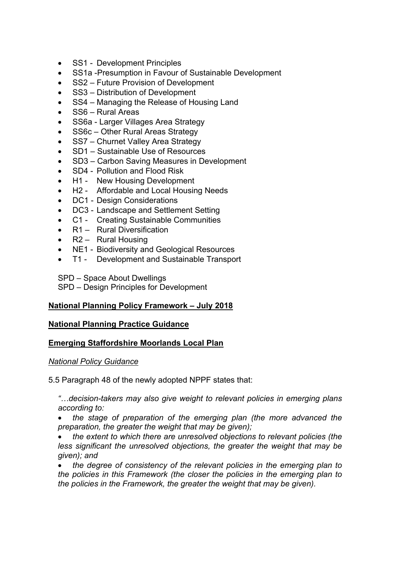- SS1 Development Principles
- SS1a -Presumption in Favour of Sustainable Development
- SS2 Future Provision of Development
- SS3 Distribution of Development
- SS4 Managing the Release of Housing Land
- SS6 Rural Areas
- SS6a Larger Villages Area Strategy
- SS6c Other Rural Areas Strategy
- SS7 Churnet Valley Area Strategy
- SD1 Sustainable Use of Resources
- SD3 Carbon Saving Measures in Development
- SD4 Pollution and Flood Risk
- H1 New Housing Development
- H2 Affordable and Local Housing Needs
- DC1 Design Considerations
- DC3 Landscape and Settlement Setting
- C1 Creating Sustainable Communities
- R1 Rural Diversification
- R2 Rural Housing
- NE1 Biodiversity and Geological Resources
- T1 Development and Sustainable Transport

SPD – Space About Dwellings

SPD – Design Principles for Development

### **National Planning Policy Framework – July 2018**

### **National Planning Practice Guidance**

### **Emerging Staffordshire Moorlands Local Plan**

#### *National Policy Guidance*

5.5 Paragraph 48 of the newly adopted NPPF states that:

*"…decision-takers may also give weight to relevant policies in emerging plans according to:*

 *the stage of preparation of the emerging plan (the more advanced the preparation, the greater the weight that may be given);*

 *the extent to which there are unresolved objections to relevant policies (the less significant the unresolved objections, the greater the weight that may be given); and*

 *the degree of consistency of the relevant policies in the emerging plan to the policies in this Framework (the closer the policies in the emerging plan to the policies in the Framework, the greater the weight that may be given).*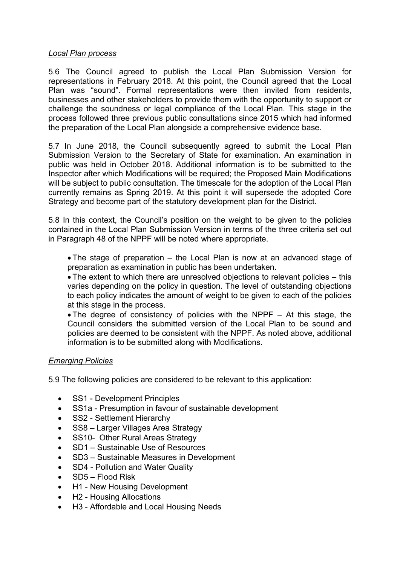### *Local Plan process*

5.6 The Council agreed to publish the Local Plan Submission Version for representations in February 2018. At this point, the Council agreed that the Local Plan was "sound". Formal representations were then invited from residents, businesses and other stakeholders to provide them with the opportunity to support or challenge the soundness or legal compliance of the Local Plan. This stage in the process followed three previous public consultations since 2015 which had informed the preparation of the Local Plan alongside a comprehensive evidence base.

5.7 In June 2018, the Council subsequently agreed to submit the Local Plan Submission Version to the Secretary of State for examination. An examination in public was held in October 2018. Additional information is to be submitted to the Inspector after which Modifications will be required; the Proposed Main Modifications will be subject to public consultation. The timescale for the adoption of the Local Plan currently remains as Spring 2019. At this point it will supersede the adopted Core Strategy and become part of the statutory development plan for the District.

5.8 In this context, the Council's position on the weight to be given to the policies contained in the Local Plan Submission Version in terms of the three criteria set out in Paragraph 48 of the NPPF will be noted where appropriate.

• The stage of preparation – the Local Plan is now at an advanced stage of preparation as examination in public has been undertaken.

 The extent to which there are unresolved objections to relevant policies – this varies depending on the policy in question. The level of outstanding objections to each policy indicates the amount of weight to be given to each of the policies at this stage in the process.

• The degree of consistency of policies with the NPPF  $-$  At this stage, the Council considers the submitted version of the Local Plan to be sound and policies are deemed to be consistent with the NPPF. As noted above, additional information is to be submitted along with Modifications.

## *Emerging Policies*

5.9 The following policies are considered to be relevant to this application:

- SS1 Development Principles
- SS1a Presumption in favour of sustainable development
- SS2 Settlement Hierarchy
- SS8 Larger Villages Area Strategy
- SS10- Other Rural Areas Strategy
- SD1 Sustainable Use of Resources
- SD3 Sustainable Measures in Development
- SD4 Pollution and Water Quality
- $\bullet$  SD5 Flood Risk
- H1 New Housing Development
- H2 Housing Allocations
- H3 Affordable and Local Housing Needs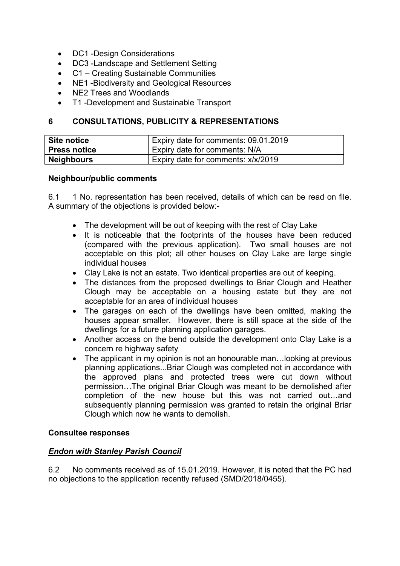- DC1 -Design Considerations
- DC3 -Landscape and Settlement Setting
- C1 Creating Sustainable Communities
- NE1 Biodiversity and Geological Resources
- NE2 Trees and Woodlands
- T1 -Development and Sustainable Transport

### **6 CONSULTATIONS, PUBLICITY & REPRESENTATIONS**

| Site notice         | Expiry date for comments: 09.01.2019 |
|---------------------|--------------------------------------|
| <b>Press notice</b> | Expiry date for comments: N/A        |
| <b>Neighbours</b>   | Expiry date for comments: x/x/2019   |

#### **Neighbour/public comments**

6.1 1 No. representation has been received, details of which can be read on file. A summary of the objections is provided below:-

- The development will be out of keeping with the rest of Clay Lake
- It is noticeable that the footprints of the houses have been reduced (compared with the previous application). Two small houses are not acceptable on this plot; all other houses on Clay Lake are large single individual houses
- Clay Lake is not an estate. Two identical properties are out of keeping.
- The distances from the proposed dwellings to Briar Clough and Heather Clough may be acceptable on a housing estate but they are not acceptable for an area of individual houses
- The garages on each of the dwellings have been omitted, making the houses appear smaller. However, there is still space at the side of the dwellings for a future planning application garages.
- Another access on the bend outside the development onto Clay Lake is a concern re highway safety
- The applicant in my opinion is not an honourable man... looking at previous planning applications...Briar Clough was completed not in accordance with the approved plans and protected trees were cut down without permission…The original Briar Clough was meant to be demolished after completion of the new house but this was not carried out…and subsequently planning permission was granted to retain the original Briar Clough which now he wants to demolish.

### **Consultee responses**

### *Endon with Stanley Parish Council*

6.2 No comments received as of 15.01.2019. However, it is noted that the PC had no objections to the application recently refused (SMD/2018/0455).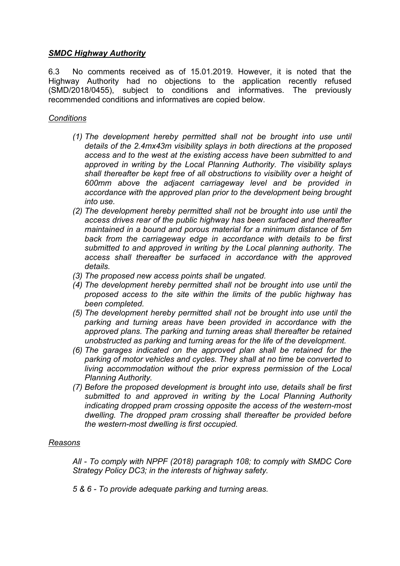### *SMDC Highway Authority*

6.3 No comments received as of 15.01.2019. However, it is noted that the Highway Authority had no objections to the application recently refused (SMD/2018/0455), subject to conditions and informatives. The previously recommended conditions and informatives are copied below.

### *Conditions*

- *(1) The development hereby permitted shall not be brought into use until details of the 2.4mx43m visibility splays in both directions at the proposed access and to the west at the existing access have been submitted to and approved in writing by the Local Planning Authority. The visibility splays shall thereafter be kept free of all obstructions to visibility over a height of 600mm above the adjacent carriageway level and be provided in accordance with the approved plan prior to the development being brought into use.*
- *(2) The development hereby permitted shall not be brought into use until the access drives rear of the public highway has been surfaced and thereafter maintained in a bound and porous material for a minimum distance of 5m back from the carriageway edge in accordance with details to be first submitted to and approved in writing by the Local planning authority. The access shall thereafter be surfaced in accordance with the approved details.*
- *(3) The proposed new access points shall be ungated.*
- *(4) The development hereby permitted shall not be brought into use until the proposed access to the site within the limits of the public highway has been completed.*
- *(5) The development hereby permitted shall not be brought into use until the parking and turning areas have been provided in accordance with the approved plans. The parking and turning areas shall thereafter be retained unobstructed as parking and turning areas for the life of the development.*
- *(6) The garages indicated on the approved plan shall be retained for the parking of motor vehicles and cycles. They shall at no time be converted to living accommodation without the prior express permission of the Local Planning Authority.*
- *(7) Before the proposed development is brought into use, details shall be first submitted to and approved in writing by the Local Planning Authority indicating dropped pram crossing opposite the access of the western-most dwelling. The dropped pram crossing shall thereafter be provided before the western-most dwelling is first occupied.*

### *Reasons*

*All - To comply with NPPF (2018) paragraph 108; to comply with SMDC Core Strategy Policy DC3; in the interests of highway safety.*

*5 & 6 - To provide adequate parking and turning areas.*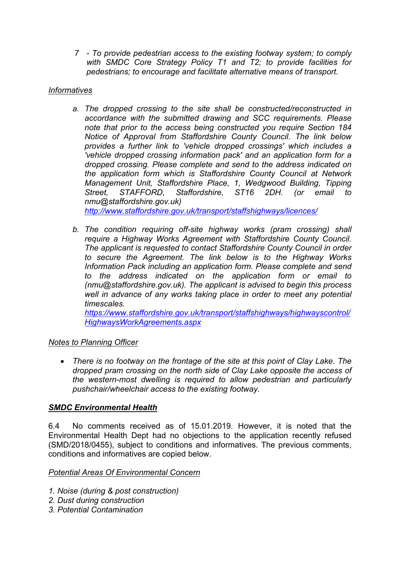*7 - To provide pedestrian access to the existing footway system; to comply with SMDC Core Strategy Policy T1 and T2; to provide facilities for pedestrians; to encourage and facilitate alternative means of transport.*

## *Informatives*

- *a. The dropped crossing to the site shall be constructed/reconstructed in accordance with the submitted drawing and SCC requirements. Please note that prior to the access being constructed you require Section 184 Notice of Approval from Staffordshire County Council. The link below provides a further link to 'vehicle dropped crossings' which includes a 'vehicle dropped crossing information pack' and an application form for a dropped crossing. Please complete and send to the address indicated on the application form which is Staffordshire County Council at Network Management Unit, Staffordshire Place, 1, Wedgwood Building, Tipping Street, STAFFORD, Staffordshire, ST16 2DH. (or email to nmu@staffordshire.gov.uk) <http://www.staffordshire.gov.uk/transport/staffshighways/licences/>*
- *b. The condition requiring off-site highway works (pram crossing) shall require a Highway Works Agreement with Staffordshire County Council. The applicant is requested to contact Staffordshire County Council in order to secure the Agreement. The link below is to the Highway Works Information Pack including an application form. Please complete and send to the address indicated on the application form or email to (nmu@staffordshire.gov.uk). The applicant is advised to begin this process well in advance of any works taking place in order to meet any potential timescales.*

*[https://www.staffordshire.gov.uk/transport/staffshighways/highwayscontrol/](https://www.staffordshire.gov.uk/transport/staffshighways/highwayscontrol/HighwaysWorkAgreements.aspx) [HighwaysWorkAgreements.aspx](https://www.staffordshire.gov.uk/transport/staffshighways/highwayscontrol/HighwaysWorkAgreements.aspx)*

## *Notes to Planning Officer*

 *There is no footway on the frontage of the site at this point of Clay Lake. The dropped pram crossing on the north side of Clay Lake opposite the access of the western-most dwelling is required to allow pedestrian and particularly pushchair/wheelchair access to the existing footway.*

## *SMDC Environmental Health*

6.4 No comments received as of 15.01.2019. However, it is noted that the Environmental Health Dept had no objections to the application recently refused (SMD/2018/0455), subject to conditions and informatives. The previous comments, conditions and informatives are copied below.

### *Potential Areas Of Environmental Concern*

- *1. Noise (during & post construction)*
- *2. Dust during construction*
- *3. Potential Contamination*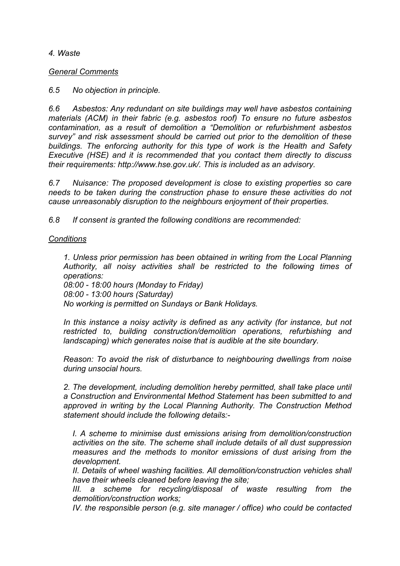*4. Waste*

*General Comments*

*6.5 No objection in principle.*

*6.6 Asbestos: Any redundant on site buildings may well have asbestos containing materials (ACM) in their fabric (e.g. asbestos roof) To ensure no future asbestos contamination, as a result of demolition a "Demolition or refurbishment asbestos survey" and risk assessment should be carried out prior to the demolition of these buildings. The enforcing authority for this type of work is the Health and Safety Executive (HSE) and it is recommended that you contact them directly to discuss their requirements: http://www.hse.gov.uk/. This is included as an advisory.*

*6.7 Nuisance: The proposed development is close to existing properties so care needs to be taken during the construction phase to ensure these activities do not cause unreasonably disruption to the neighbours enjoyment of their properties.*

*6.8 If consent is granted the following conditions are recommended:*

### *Conditions*

*1. Unless prior permission has been obtained in writing from the Local Planning Authority, all noisy activities shall be restricted to the following times of operations:*

*08:00 - 18:00 hours (Monday to Friday) 08:00 - 13:00 hours (Saturday) No working is permitted on Sundays or Bank Holidays.*

*In this instance a noisy activity is defined as any activity (for instance, but not restricted to, building construction/demolition operations, refurbishing and landscaping) which generates noise that is audible at the site boundary.*

*Reason: To avoid the risk of disturbance to neighbouring dwellings from noise during unsocial hours.*

*2. The development, including demolition hereby permitted, shall take place until a Construction and Environmental Method Statement has been submitted to and approved in writing by the Local Planning Authority. The Construction Method statement should include the following details:-*

*I. A scheme to minimise dust emissions arising from demolition/construction activities on the site. The scheme shall include details of all dust suppression measures and the methods to monitor emissions of dust arising from the development.*

*II. Details of wheel washing facilities. All demolition/construction vehicles shall have their wheels cleaned before leaving the site;*

*III. a scheme for recycling/disposal of waste resulting from the demolition/construction works;*

*IV. the responsible person (e.g. site manager / office) who could be contacted*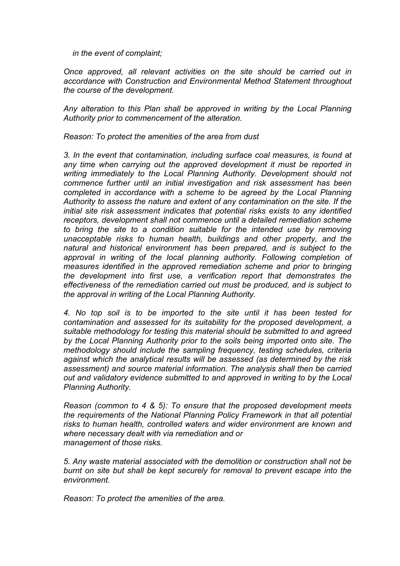*in the event of complaint;*

*Once approved, all relevant activities on the site should be carried out in accordance with Construction and Environmental Method Statement throughout the course of the development.*

*Any alteration to this Plan shall be approved in writing by the Local Planning Authority prior to commencement of the alteration.*

*Reason: To protect the amenities of the area from dust*

*3. In the event that contamination, including surface coal measures, is found at any time when carrying out the approved development it must be reported in writing immediately to the Local Planning Authority. Development should not commence further until an initial investigation and risk assessment has been completed in accordance with a scheme to be agreed by the Local Planning Authority to assess the nature and extent of any contamination on the site. If the initial site risk assessment indicates that potential risks exists to any identified receptors, development shall not commence until a detailed remediation scheme to bring the site to a condition suitable for the intended use by removing unacceptable risks to human health, buildings and other property, and the natural and historical environment has been prepared, and is subject to the approval in writing of the local planning authority. Following completion of measures identified in the approved remediation scheme and prior to bringing the development into first use, a verification report that demonstrates the effectiveness of the remediation carried out must be produced, and is subject to the approval in writing of the Local Planning Authority.*

*4. No top soil is to be imported to the site until it has been tested for contamination and assessed for its suitability for the proposed development, a suitable methodology for testing this material should be submitted to and agreed by the Local Planning Authority prior to the soils being imported onto site. The methodology should include the sampling frequency, testing schedules, criteria against which the analytical results will be assessed (as determined by the risk assessment) and source material information. The analysis shall then be carried out and validatory evidence submitted to and approved in writing to by the Local Planning Authority.*

*Reason (common to 4 & 5): To ensure that the proposed development meets the requirements of the National Planning Policy Framework in that all potential risks to human health, controlled waters and wider environment are known and where necessary dealt with via remediation and or management of those risks.*

*5. Any waste material associated with the demolition or construction shall not be burnt on site but shall be kept securely for removal to prevent escape into the environment.*

*Reason: To protect the amenities of the area.*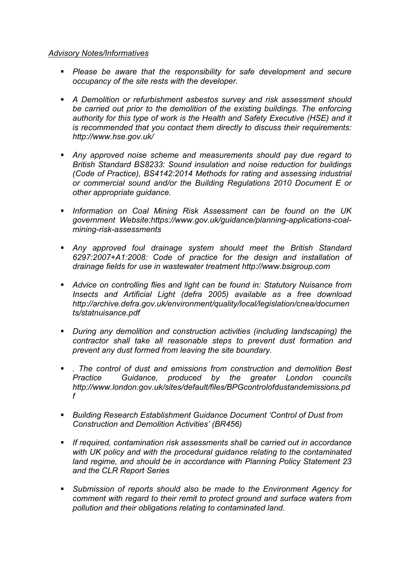### *Advisory Notes/Informatives*

- *Please be aware that the responsibility for safe development and secure occupancy of the site rests with the developer.*
- *A Demolition or refurbishment asbestos survey and risk assessment should be carried out prior to the demolition of the existing buildings. The enforcing authority for this type of work is the Health and Safety Executive (HSE) and it is recommended that you contact them directly to discuss their requirements: http://www.hse.gov.uk/*
- *Any approved noise scheme and measurements should pay due regard to British Standard BS8233: Sound insulation and noise reduction for buildings (Code of Practice), BS4142:2014 Methods for rating and assessing industrial or commercial sound and/or the Building Regulations 2010 Document E or other appropriate guidance.*
- *Information on Coal Mining Risk Assessment can be found on the UK government Website:https://www.gov.uk/guidance/planning-applications-coalmining-risk-assessments*
- *Any approved foul drainage system should meet the British Standard 6297:2007+A1:2008: Code of practice for the design and installation of drainage fields for use in wastewater treatment http://www.bsigroup.com*
- *Advice on controlling flies and light can be found in: Statutory Nuisance from Insects and Artificial Light (defra 2005) available as a free download http://archive.defra.gov.uk/environment/quality/local/legislation/cnea/documen ts/statnuisance.pdf*
- *During any demolition and construction activities (including landscaping) the contractor shall take all reasonable steps to prevent dust formation and prevent any dust formed from leaving the site boundary.*
- *. The control of dust and emissions from construction and demolition Best Practice Guidance, produced by the greater London councils http://www.london.gov.uk/sites/default/files/BPGcontrolofdustandemissions.pd f*
- *Building Research Establishment Guidance Document 'Control of Dust from Construction and Demolition Activities' (BR456)*
- *If required, contamination risk assessments shall be carried out in accordance with UK policy and with the procedural guidance relating to the contaminated land regime, and should be in accordance with Planning Policy Statement 23 and the CLR Report Series*
- *Submission of reports should also be made to the Environment Agency for comment with regard to their remit to protect ground and surface waters from pollution and their obligations relating to contaminated land.*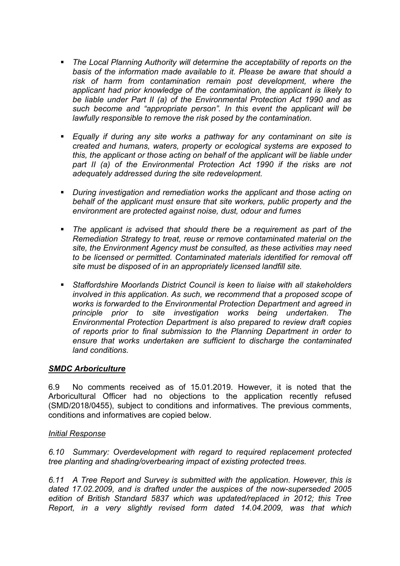- *The Local Planning Authority will determine the acceptability of reports on the basis of the information made available to it. Please be aware that should a risk of harm from contamination remain post development, where the applicant had prior knowledge of the contamination, the applicant is likely to be liable under Part II (a) of the Environmental Protection Act 1990 and as such become and "appropriate person". In this event the applicant will be lawfully responsible to remove the risk posed by the contamination.*
- *Equally if during any site works a pathway for any contaminant on site is created and humans, waters, property or ecological systems are exposed to this, the applicant or those acting on behalf of the applicant will be liable under part II (a) of the Environmental Protection Act 1990 if the risks are not adequately addressed during the site redevelopment.*
- *During investigation and remediation works the applicant and those acting on behalf of the applicant must ensure that site workers, public property and the environment are protected against noise, dust, odour and fumes*
- *The applicant is advised that should there be a requirement as part of the Remediation Strategy to treat, reuse or remove contaminated material on the site, the Environment Agency must be consulted, as these activities may need to be licensed or permitted. Contaminated materials identified for removal off site must be disposed of in an appropriately licensed landfill site.*
- *Staffordshire Moorlands District Council is keen to liaise with all stakeholders involved in this application. As such, we recommend that a proposed scope of works is forwarded to the Environmental Protection Department and agreed in principle prior to site investigation works being undertaken. The Environmental Protection Department is also prepared to review draft copies of reports prior to final submission to the Planning Department in order to ensure that works undertaken are sufficient to discharge the contaminated land conditions.*

### *SMDC Arboriculture*

6.9 No comments received as of 15.01.2019. However, it is noted that the Arboricultural Officer had no objections to the application recently refused (SMD/2018/0455), subject to conditions and informatives. The previous comments, conditions and informatives are copied below.

#### *Initial Response*

*6.10 Summary: Overdevelopment with regard to required replacement protected tree planting and shading/overbearing impact of existing protected trees.*

*6.11 A Tree Report and Survey is submitted with the application. However, this is dated 17.02.2009, and is drafted under the auspices of the now-superseded 2005 edition of British Standard 5837 which was updated/replaced in 2012; this Tree Report, in a very slightly revised form dated 14.04.2009, was that which*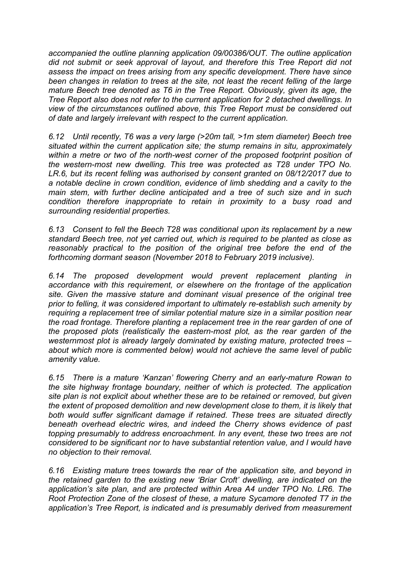*accompanied the outline planning application 09/00386/OUT. The outline application did not submit or seek approval of layout, and therefore this Tree Report did not assess the impact on trees arising from any specific development. There have since been changes in relation to trees at the site, not least the recent felling of the large mature Beech tree denoted as T6 in the Tree Report. Obviously, given its age, the Tree Report also does not refer to the current application for 2 detached dwellings. In view of the circumstances outlined above, this Tree Report must be considered out of date and largely irrelevant with respect to the current application.*

*6.12 Until recently, T6 was a very large (>20m tall, >1m stem diameter) Beech tree situated within the current application site; the stump remains in situ, approximately within a metre or two of the north-west corner of the proposed footprint position of the western-most new dwelling. This tree was protected as T28 under TPO No. LR.6, but its recent felling was authorised by consent granted on 08/12/2017 due to a notable decline in crown condition, evidence of limb shedding and a cavity to the main stem, with further decline anticipated and a tree of such size and in such condition therefore inappropriate to retain in proximity to a busy road and surrounding residential properties.*

*6.13 Consent to fell the Beech T28 was conditional upon its replacement by a new standard Beech tree, not yet carried out, which is required to be planted as close as reasonably practical to the position of the original tree before the end of the forthcoming dormant season (November 2018 to February 2019 inclusive).*

*6.14 The proposed development would prevent replacement planting in accordance with this requirement, or elsewhere on the frontage of the application site. Given the massive stature and dominant visual presence of the original tree prior to felling, it was considered important to ultimately re-establish such amenity by requiring a replacement tree of similar potential mature size in a similar position near the road frontage. Therefore planting a replacement tree in the rear garden of one of the proposed plots (realistically the eastern-most plot, as the rear garden of the westernmost plot is already largely dominated by existing mature, protected trees – about which more is commented below) would not achieve the same level of public amenity value.*

*6.15 There is a mature 'Kanzan' flowering Cherry and an early-mature Rowan to the site highway frontage boundary, neither of which is protected. The application site plan is not explicit about whether these are to be retained or removed, but given the extent of proposed demolition and new development close to them, it is likely that both would suffer significant damage if retained. These trees are situated directly beneath overhead electric wires, and indeed the Cherry shows evidence of past topping presumably to address encroachment. In any event, these two trees are not considered to be significant nor to have substantial retention value, and I would have no objection to their removal.*

*6.16 Existing mature trees towards the rear of the application site, and beyond in the retained garden to the existing new 'Briar Croft' dwelling, are indicated on the application's site plan, and are protected within Area A4 under TPO No. LR6. The Root Protection Zone of the closest of these, a mature Sycamore denoted T7 in the application's Tree Report, is indicated and is presumably derived from measurement*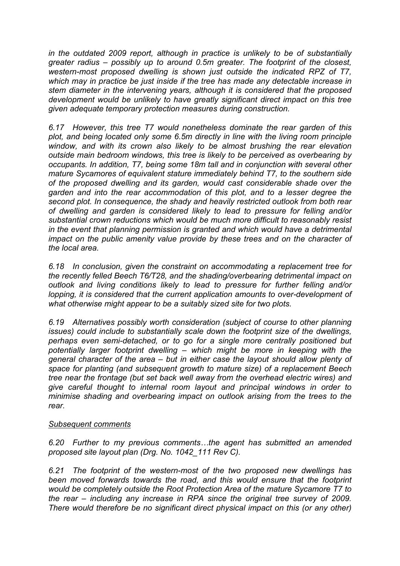*in the outdated 2009 report, although in practice is unlikely to be of substantially greater radius – possibly up to around 0.5m greater. The footprint of the closest, western-most proposed dwelling is shown just outside the indicated RPZ of T7, which may in practice be just inside if the tree has made any detectable increase in stem diameter in the intervening years, although it is considered that the proposed development would be unlikely to have greatly significant direct impact on this tree given adequate temporary protection measures during construction.*

*6.17 However, this tree T7 would nonetheless dominate the rear garden of this plot, and being located only some 6.5m directly in line with the living room principle window, and with its crown also likely to be almost brushing the rear elevation outside main bedroom windows, this tree is likely to be perceived as overbearing by occupants. In addition, T7, being some 18m tall and in conjunction with several other mature Sycamores of equivalent stature immediately behind T7, to the southern side of the proposed dwelling and its garden, would cast considerable shade over the garden and into the rear accommodation of this plot, and to a lesser degree the second plot. In consequence, the shady and heavily restricted outlook from both rear of dwelling and garden is considered likely to lead to pressure for felling and/or substantial crown reductions which would be much more difficult to reasonably resist in the event that planning permission is granted and which would have a detrimental impact on the public amenity value provide by these trees and on the character of the local area.*

*6.18 In conclusion, given the constraint on accommodating a replacement tree for the recently felled Beech T6/T28, and the shading/overbearing detrimental impact on outlook and living conditions likely to lead to pressure for further felling and/or lopping, it is considered that the current application amounts to over-development of what otherwise might appear to be a suitably sized site for two plots.*

*6.19 Alternatives possibly worth consideration (subject of course to other planning issues) could include to substantially scale down the footprint size of the dwellings, perhaps even semi-detached, or to go for a single more centrally positioned but potentially larger footprint dwelling – which might be more in keeping with the general character of the area – but in either case the layout should allow plenty of space for planting (and subsequent growth to mature size) of a replacement Beech tree near the frontage (but set back well away from the overhead electric wires) and give careful thought to internal room layout and principal windows in order to minimise shading and overbearing impact on outlook arising from the trees to the rear.*

### *Subsequent comments*

*6.20 Further to my previous comments…the agent has submitted an amended proposed site layout plan (Drg. No. 1042\_111 Rev C).*

*6.21 The footprint of the western-most of the two proposed new dwellings has been moved forwards towards the road, and this would ensure that the footprint would be completely outside the Root Protection Area of the mature Sycamore T7 to the rear – including any increase in RPA since the original tree survey of 2009. There would therefore be no significant direct physical impact on this (or any other)*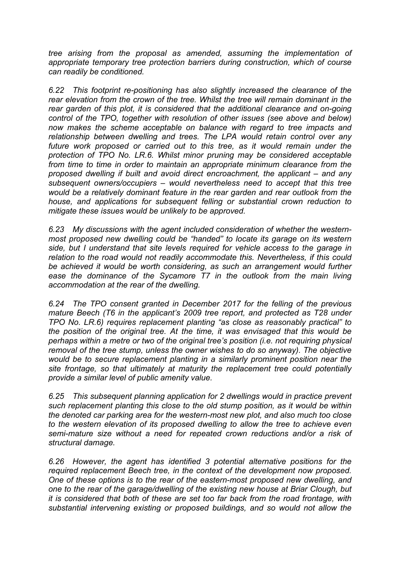*tree arising from the proposal as amended, assuming the implementation of appropriate temporary tree protection barriers during construction, which of course can readily be conditioned.*

*6.22 This footprint re-positioning has also slightly increased the clearance of the rear elevation from the crown of the tree. Whilst the tree will remain dominant in the rear garden of this plot, it is considered that the additional clearance and on-going control of the TPO, together with resolution of other issues (see above and below) now makes the scheme acceptable on balance with regard to tree impacts and relationship between dwelling and trees. The LPA would retain control over any future work proposed or carried out to this tree, as it would remain under the protection of TPO No. LR.6. Whilst minor pruning may be considered acceptable from time to time in order to maintain an appropriate minimum clearance from the proposed dwelling if built and avoid direct encroachment, the applicant – and any subsequent owners/occupiers – would nevertheless need to accept that this tree would be a relatively dominant feature in the rear garden and rear outlook from the house, and applications for subsequent felling or substantial crown reduction to mitigate these issues would be unlikely to be approved.*

*6.23 My discussions with the agent included consideration of whether the westernmost proposed new dwelling could be "handed" to locate its garage on its western side, but I understand that site levels required for vehicle access to the garage in relation to the road would not readily accommodate this. Nevertheless, if this could be achieved it would be worth considering, as such an arrangement would further ease the dominance of the Sycamore T7 in the outlook from the main living accommodation at the rear of the dwelling.*

*6.24 The TPO consent granted in December 2017 for the felling of the previous mature Beech (T6 in the applicant's 2009 tree report, and protected as T28 under TPO No. LR.6) requires replacement planting "as close as reasonably practical" to the position of the original tree. At the time, it was envisaged that this would be perhaps within a metre or two of the original tree's position (i.e. not requiring physical removal of the tree stump, unless the owner wishes to do so anyway). The objective would be to secure replacement planting in a similarly prominent position near the site frontage, so that ultimately at maturity the replacement tree could potentially provide a similar level of public amenity value.*

*6.25 This subsequent planning application for 2 dwellings would in practice prevent such replacement planting this close to the old stump position, as it would be within the denoted car parking area for the western-most new plot, and also much too close to the western elevation of its proposed dwelling to allow the tree to achieve even semi-mature size without a need for repeated crown reductions and/or a risk of structural damage.*

*6.26 However, the agent has identified 3 potential alternative positions for the required replacement Beech tree, in the context of the development now proposed. One of these options is to the rear of the eastern-most proposed new dwelling, and one to the rear of the garage/dwelling of the existing new house at Briar Clough, but it is considered that both of these are set too far back from the road frontage, with substantial intervening existing or proposed buildings, and so would not allow the*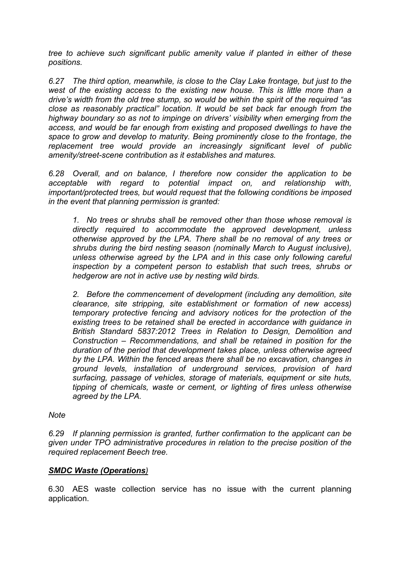*tree to achieve such significant public amenity value if planted in either of these positions.*

*6.27 The third option, meanwhile, is close to the Clay Lake frontage, but just to the west of the existing access to the existing new house. This is little more than a drive's width from the old tree stump, so would be within the spirit of the required "as close as reasonably practical" location. It would be set back far enough from the highway boundary so as not to impinge on drivers' visibility when emerging from the access, and would be far enough from existing and proposed dwellings to have the space to grow and develop to maturity. Being prominently close to the frontage, the replacement tree would provide an increasingly significant level of public amenity/street-scene contribution as it establishes and matures.*

*6.28 Overall, and on balance, I therefore now consider the application to be acceptable with regard to potential impact on, and relationship with, important/protected trees, but would request that the following conditions be imposed in the event that planning permission is granted:*

*1. No trees or shrubs shall be removed other than those whose removal is directly required to accommodate the approved development, unless otherwise approved by the LPA. There shall be no removal of any trees or shrubs during the bird nesting season (nominally March to August inclusive), unless otherwise agreed by the LPA and in this case only following careful inspection by a competent person to establish that such trees, shrubs or hedgerow are not in active use by nesting wild birds.*

*2. Before the commencement of development (including any demolition, site clearance, site stripping, site establishment or formation of new access) temporary protective fencing and advisory notices for the protection of the existing trees to be retained shall be erected in accordance with guidance in British Standard 5837:2012 Trees in Relation to Design, Demolition and Construction – Recommendations, and shall be retained in position for the duration of the period that development takes place, unless otherwise agreed by the LPA. Within the fenced areas there shall be no excavation, changes in ground levels, installation of underground services, provision of hard surfacing, passage of vehicles, storage of materials, equipment or site huts, tipping of chemicals, waste or cement, or lighting of fires unless otherwise agreed by the LPA.*

### *Note*

*6.29 If planning permission is granted, further confirmation to the applicant can be given under TPO administrative procedures in relation to the precise position of the required replacement Beech tree.*

### *SMDC Waste (Operations)*

6.30 AES waste collection service has no issue with the current planning application.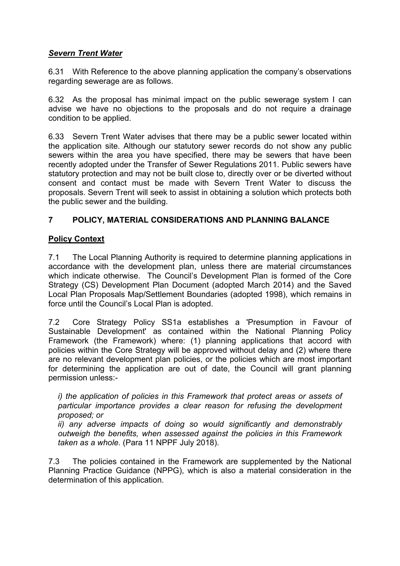## *Severn Trent Water*

6.31 With Reference to the above planning application the company's observations regarding sewerage are as follows.

6.32 As the proposal has minimal impact on the public sewerage system I can advise we have no objections to the proposals and do not require a drainage condition to be applied.

6.33 Severn Trent Water advises that there may be a public sewer located within the application site. Although our statutory sewer records do not show any public sewers within the area you have specified, there may be sewers that have been recently adopted under the Transfer of Sewer Regulations 2011. Public sewers have statutory protection and may not be built close to, directly over or be diverted without consent and contact must be made with Severn Trent Water to discuss the proposals. Severn Trent will seek to assist in obtaining a solution which protects both the public sewer and the building.

# **7 POLICY, MATERIAL CONSIDERATIONS AND PLANNING BALANCE**

## **Policy Context**

7.1 The Local Planning Authority is required to determine planning applications in accordance with the development plan, unless there are material circumstances which indicate otherwise. The Council's Development Plan is formed of the Core Strategy (CS) Development Plan Document (adopted March 2014) and the Saved Local Plan Proposals Map/Settlement Boundaries (adopted 1998), which remains in force until the Council's Local Plan is adopted.

7.2 Core Strategy Policy SS1a establishes a 'Presumption in Favour of Sustainable Development' as contained within the National Planning Policy Framework (the Framework) where: (1) planning applications that accord with policies within the Core Strategy will be approved without delay and (2) where there are no relevant development plan policies, or the policies which are most important for determining the application are out of date, the Council will grant planning permission unless:-

*i) the application of policies in this Framework that protect areas or assets of particular importance provides a clear reason for refusing the development proposed; or*

*ii) any adverse impacts of doing so would significantly and demonstrably outweigh the benefits, when assessed against the policies in this Framework taken as a whole.* (Para 11 NPPF July 2018).

7.3 The policies contained in the Framework are supplemented by the National Planning Practice Guidance (NPPG), which is also a material consideration in the determination of this application.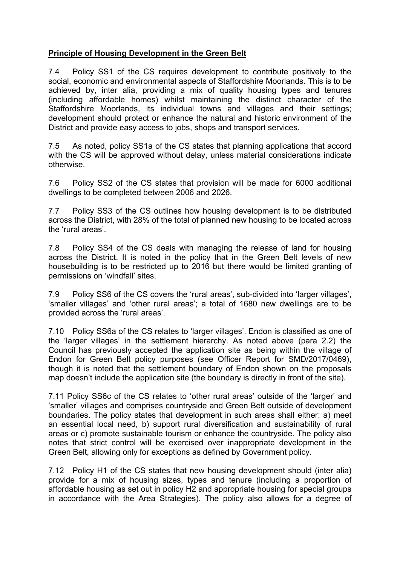### **Principle of Housing Development in the Green Belt**

7.4 Policy SS1 of the CS requires development to contribute positively to the social, economic and environmental aspects of Staffordshire Moorlands. This is to be achieved by, inter alia, providing a mix of quality housing types and tenures (including affordable homes) whilst maintaining the distinct character of the Staffordshire Moorlands, its individual towns and villages and their settings; development should protect or enhance the natural and historic environment of the District and provide easy access to jobs, shops and transport services.

7.5 As noted, policy SS1a of the CS states that planning applications that accord with the CS will be approved without delay, unless material considerations indicate otherwise.

7.6 Policy SS2 of the CS states that provision will be made for 6000 additional dwellings to be completed between 2006 and 2026.

7.7 Policy SS3 of the CS outlines how housing development is to be distributed across the District, with 28% of the total of planned new housing to be located across the 'rural areas'.

7.8 Policy SS4 of the CS deals with managing the release of land for housing across the District. It is noted in the policy that in the Green Belt levels of new housebuilding is to be restricted up to 2016 but there would be limited granting of permissions on 'windfall' sites.

7.9 Policy SS6 of the CS covers the 'rural areas', sub-divided into 'larger villages', 'smaller villages' and 'other rural areas'; a total of 1680 new dwellings are to be provided across the 'rural areas'.

7.10 Policy SS6a of the CS relates to 'larger villages'. Endon is classified as one of the 'larger villages' in the settlement hierarchy. As noted above (para 2.2) the Council has previously accepted the application site as being within the village of Endon for Green Belt policy purposes (see Officer Report for SMD/2017/0469), though it is noted that the settlement boundary of Endon shown on the proposals map doesn't include the application site (the boundary is directly in front of the site).

7.11 Policy SS6c of the CS relates to 'other rural areas' outside of the 'larger' and 'smaller' villages and comprises countryside and Green Belt outside of development boundaries. The policy states that development in such areas shall either: a) meet an essential local need, b) support rural diversification and sustainability of rural areas or c) promote sustainable tourism or enhance the countryside. The policy also notes that strict control will be exercised over inappropriate development in the Green Belt, allowing only for exceptions as defined by Government policy.

7.12 Policy H1 of the CS states that new housing development should (inter alia) provide for a mix of housing sizes, types and tenure (including a proportion of affordable housing as set out in policy H2 and appropriate housing for special groups in accordance with the Area Strategies). The policy also allows for a degree of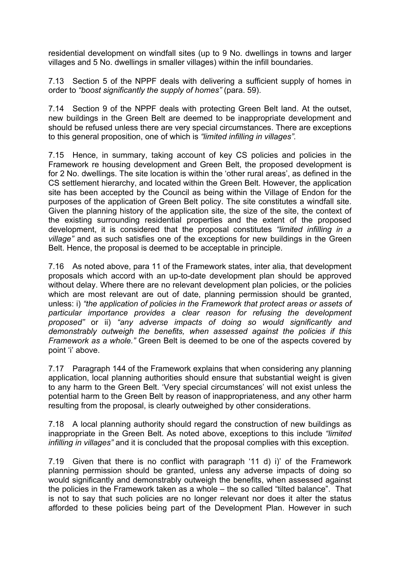residential development on windfall sites (up to 9 No. dwellings in towns and larger villages and 5 No. dwellings in smaller villages) within the infill boundaries.

7.13 Section 5 of the NPPF deals with delivering a sufficient supply of homes in order to *"boost significantly the supply of homes"* (para. 59).

7.14 Section 9 of the NPPF deals with protecting Green Belt land. At the outset, new buildings in the Green Belt are deemed to be inappropriate development and should be refused unless there are very special circumstances. There are exceptions to this general proposition, one of which is *"limited infilling in villages".*

7.15 Hence, in summary, taking account of key CS policies and policies in the Framework re housing development and Green Belt, the proposed development is for 2 No. dwellings. The site location is within the 'other rural areas', as defined in the CS settlement hierarchy, and located within the Green Belt. However, the application site has been accepted by the Council as being within the Village of Endon for the purposes of the application of Green Belt policy. The site constitutes a windfall site. Given the planning history of the application site, the size of the site, the context of the existing surrounding residential properties and the extent of the proposed development, it is considered that the proposal constitutes *"limited infilling in a village"* and as such satisfies one of the exceptions for new buildings in the Green Belt. Hence, the proposal is deemed to be acceptable in principle.

7.16 As noted above, para 11 of the Framework states, inter alia, that development proposals which accord with an up-to-date development plan should be approved without delay. Where there are no relevant development plan policies, or the policies which are most relevant are out of date, planning permission should be granted, unless: i) *"the application of policies in the Framework that protect areas or assets of particular importance provides a clear reason for refusing the development proposed"* or ii) *"any adverse impacts of doing so would significantly and demonstrably outweigh the benefits, when assessed against the policies if this Framework as a whole."* Green Belt is deemed to be one of the aspects covered by point 'i' above.

7.17 Paragraph 144 of the Framework explains that when considering any planning application, local planning authorities should ensure that substantial weight is given to any harm to the Green Belt. 'Very special circumstances' will not exist unless the potential harm to the Green Belt by reason of inappropriateness, and any other harm resulting from the proposal, is clearly outweighed by other considerations.

7.18 A local planning authority should regard the construction of new buildings as inappropriate in the Green Belt. As noted above, exceptions to this include *"limited infilling in villages"* and it is concluded that the proposal complies with this exception.

7.19 Given that there is no conflict with paragraph '11 d) i)' of the Framework planning permission should be granted, unless any adverse impacts of doing so would significantly and demonstrably outweigh the benefits, when assessed against the policies in the Framework taken as a whole – the so called "tilted balance". That is not to say that such policies are no longer relevant nor does it alter the status afforded to these policies being part of the Development Plan. However in such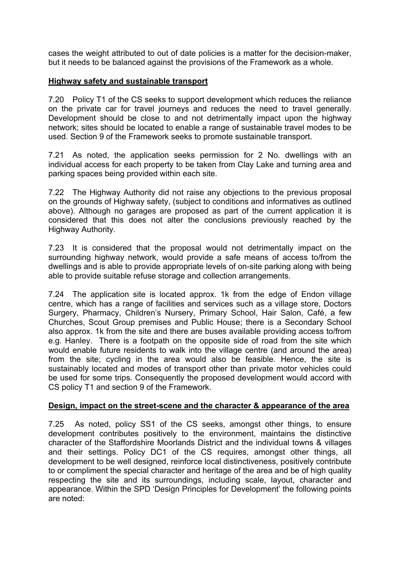cases the weight attributed to out of date policies is a matter for the decision-maker, but it needs to be balanced against the provisions of the Framework as a whole.

### **Highway safety and sustainable transport**

7.20 Policy T1 of the CS seeks to support development which reduces the reliance on the private car for travel journeys and reduces the need to travel generally. Development should be close to and not detrimentally impact upon the highway network; sites should be located to enable a range of sustainable travel modes to be used. Section 9 of the Framework seeks to promote sustainable transport.

7.21 As noted, the application seeks permission for 2 No. dwellings with an individual access for each property to be taken from Clay Lake and turning area and parking spaces being provided within each site.

7.22 The Highway Authority did not raise any objections to the previous proposal on the grounds of Highway safety, (subject to conditions and informatives as outlined above). Although no garages are proposed as part of the current application it is considered that this does not alter the conclusions previously reached by the Highway Authority.

7.23 It is considered that the proposal would not detrimentally impact on the surrounding highway network, would provide a safe means of access to/from the dwellings and is able to provide appropriate levels of on-site parking along with being able to provide suitable refuse storage and collection arrangements.

7.24 The application site is located approx. 1k from the edge of Endon village centre, which has a range of facilities and services such as a village store, Doctors Surgery, Pharmacy, Children's Nursery, Primary School, Hair Salon, Café, a few Churches, Scout Group premises and Public House; there is a Secondary School also approx. 1k from the site and there are buses available providing access to/from e.g. Hanley. There is a footpath on the opposite side of road from the site which would enable future residents to walk into the village centre (and around the area) from the site; cycling in the area would also be feasible. Hence, the site is sustainably located and modes of transport other than private motor vehicles could be used for some trips. Consequently the proposed development would accord with CS policy T1 and section 9 of the Framework.

### **Design, impact on the street-scene and the character & appearance of the area**

7.25 As noted, policy SS1 of the CS seeks, amongst other things, to ensure development contributes positively to the environment, maintains the distinctive character of the Staffordshire Moorlands District and the individual towns & villages and their settings. Policy DC1 of the CS requires, amongst other things, all development to be well designed, reinforce local distinctiveness, positively contribute to or compliment the special character and heritage of the area and be of high quality respecting the site and its surroundings, including scale, layout, character and appearance. Within the SPD 'Design Principles for Development' the following points are noted: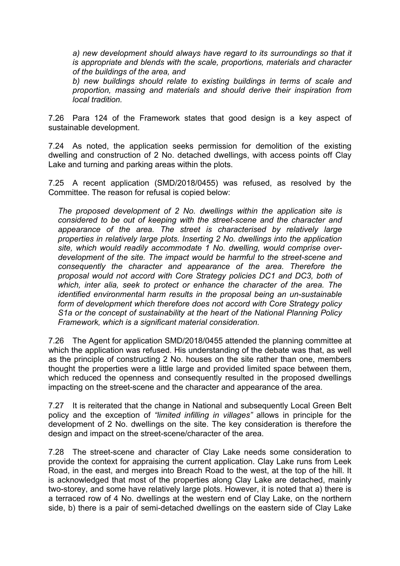*a) new development should always have regard to its surroundings so that it is appropriate and blends with the scale, proportions, materials and character of the buildings of the area, and*

*b) new buildings should relate to existing buildings in terms of scale and proportion, massing and materials and should derive their inspiration from local tradition.*

7.26 Para 124 of the Framework states that good design is a key aspect of sustainable development.

7.24 As noted, the application seeks permission for demolition of the existing dwelling and construction of 2 No. detached dwellings, with access points off Clay Lake and turning and parking areas within the plots.

7.25 A recent application (SMD/2018/0455) was refused, as resolved by the Committee. The reason for refusal is copied below:

*The proposed development of 2 No. dwellings within the application site is considered to be out of keeping with the street-scene and the character and appearance of the area. The street is characterised by relatively large properties in relatively large plots. Inserting 2 No. dwellings into the application site, which would readily accommodate 1 No. dwelling, would comprise overdevelopment of the site. The impact would be harmful to the street-scene and consequently the character and appearance of the area. Therefore the proposal would not accord with Core Strategy policies DC1 and DC3, both of which, inter alia, seek to protect or enhance the character of the area. The identified environmental harm results in the proposal being an un-sustainable form of development which therefore does not accord with Core Strategy policy S1a or the concept of sustainability at the heart of the National Planning Policy Framework, which is a significant material consideration.*

7.26 The Agent for application SMD/2018/0455 attended the planning committee at which the application was refused. His understanding of the debate was that, as well as the principle of constructing 2 No. houses on the site rather than one, members thought the properties were a little large and provided limited space between them, which reduced the openness and consequently resulted in the proposed dwellings impacting on the street-scene and the character and appearance of the area.

7.27 It is reiterated that the change in National and subsequently Local Green Belt policy and the exception of *"limited infilling in villages"* allows in principle for the development of 2 No. dwellings on the site. The key consideration is therefore the design and impact on the street-scene/character of the area.

7.28 The street-scene and character of Clay Lake needs some consideration to provide the context for appraising the current application. Clay Lake runs from Leek Road, in the east, and merges into Breach Road to the west, at the top of the hill. It is acknowledged that most of the properties along Clay Lake are detached, mainly two-storey, and some have relatively large plots. However, it is noted that a) there is a terraced row of 4 No. dwellings at the western end of Clay Lake, on the northern side, b) there is a pair of semi-detached dwellings on the eastern side of Clay Lake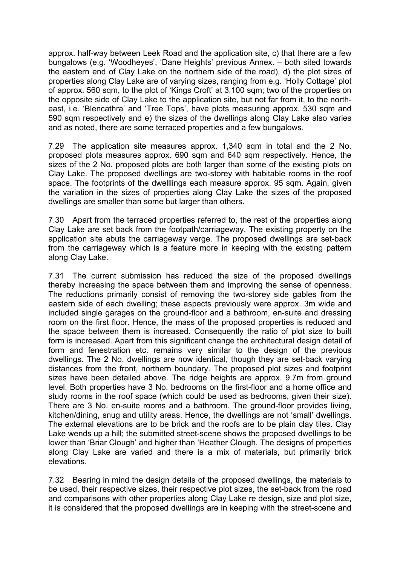approx. half-way between Leek Road and the application site, c) that there are a few bungalows (e.g. 'Woodheyes', 'Dane Heights' previous Annex. – both sited towards the eastern end of Clay Lake on the northern side of the road), d) the plot sizes of properties along Clay Lake are of varying sizes, ranging from e.g. 'Holly Cottage' plot of approx. 560 sqm, to the plot of 'Kings Croft' at 3,100 sqm; two of the properties on the opposite side of Clay Lake to the application site, but not far from it, to the northeast, i.e. 'Blencathra' and 'Tree Tops', have plots measuring approx. 530 sqm and 590 sqm respectively and e) the sizes of the dwellings along Clay Lake also varies and as noted, there are some terraced properties and a few bungalows.

7.29 The application site measures approx. 1,340 sqm in total and the 2 No. proposed plots measures approx. 690 sqm and 640 sqm respectively. Hence, the sizes of the 2 No. proposed plots are both larger than some of the existing plots on Clay Lake. The proposed dwellings are two-storey with habitable rooms in the roof space. The footprints of the dwelllings each measure approx. 95 sqm. Again, given the variation in the sizes of properties along Clay Lake the sizes of the proposed dwellings are smaller than some but larger than others.

7.30 Apart from the terraced properties referred to, the rest of the properties along Clay Lake are set back from the footpath/carriageway. The existing property on the application site abuts the carriageway verge. The proposed dwellings are set-back from the carriageway which is a feature more in keeping with the existing pattern along Clay Lake.

7.31 The current submission has reduced the size of the proposed dwellings thereby increasing the space between them and improving the sense of openness. The reductions primarily consist of removing the two-storey side gables from the eastern side of each dwelling; these aspects previously were approx. 3m wide and included single garages on the ground-floor and a bathroom, en-suite and dressing room on the first floor. Hence, the mass of the proposed properties is reduced and the space between them is increased. Consequently the ratio of plot size to built form is increased. Apart from this significant change the architectural design detail of form and fenestration etc. remains very similar to the design of the previous dwellings. The 2 No. dwellings are now identical, though they are set-back varying distances from the front, northern boundary. The proposed plot sizes and footprint sizes have been detailed above. The ridge heights are approx. 9.7m from ground level. Both properties have 3 No. bedrooms on the first-floor and a home office and study rooms in the roof space (which could be used as bedrooms, given their size). There are 3 No. en-suite rooms and a bathroom. The ground-floor provides living, kitchen/dining, snug and utility areas. Hence, the dwellings are not 'small' dwellings. The external elevations are to be brick and the roofs are to be plain clay tiles. Clay Lake wends up a hill; the submitted street-scene shows the proposed dwellings to be lower than 'Briar Clough' and higher than 'Heather Clough. The designs of properties along Clay Lake are varied and there is a mix of materials, but primarily brick elevations.

7.32 Bearing in mind the design details of the proposed dwellings, the materials to be used, their respective sizes, their respective plot sizes, the set-back from the road and comparisons with other properties along Clay Lake re design, size and plot size, it is considered that the proposed dwellings are in keeping with the street-scene and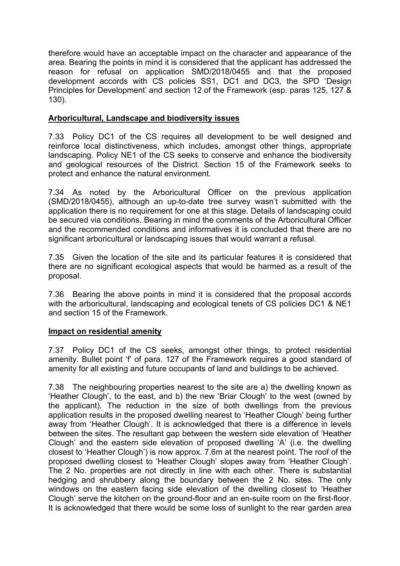therefore would have an acceptable impact on the character and appearance of the area. Bearing the points in mind it is considered that the applicant has addressed the reason for refusal on application SMD/2018/0455 and that the proposed development accords with CS policies SS1, DC1 and DC3, the SPD 'Design Principles for Development' and section 12 of the Framework (esp. paras 125, 127 & 130).

### **Arboricultural, Landscape and biodiversity issues**

7.33 Policy DC1 of the CS requires all development to be well designed and reinforce local distinctiveness, which includes, amongst other things, appropriate landscaping. Policy NE1 of the CS seeks to conserve and enhance the biodiversity and geological resources of the District. Section 15 of the Framework seeks to protect and enhance the natural environment.

7.34 As noted by the Arboricultural Officer on the previous application (SMD/2018/0455), although an up-to-date tree survey wasn't submitted with the application there is no requirement for one at this stage. Details of landscaping could be secured via conditions. Bearing in mind the comments of the Arboricultural Officer and the recommended conditions and informatives it is concluded that there are no significant arboricultural or landscaping issues that would warrant a refusal.

7.35 Given the location of the site and its particular features it is considered that there are no significant ecological aspects that would be harmed as a result of the proposal.

7.36 Bearing the above points in mind it is considered that the proposal accords with the arboricultural, landscaping and ecological tenets of CS policies DC1 & NE1 and section 15 of the Framework.

### **Impact on residential amenity**

7.37 Policy DC1 of the CS seeks, amongst other things, to protect residential amenity. Bullet point 'f' of para. 127 of the Framework requires a good standard of amenity for all existing and future occupants of land and buildings to be achieved.

7.38 The neighbouring properties nearest to the site are a) the dwelling known as 'Heather Clough', to the east, and b) the new 'Briar Clough' to the west (owned by the applicant). The reduction in the size of both dwellings from the previous application results in the proposed dwelling nearest to 'Heather Clough' being further away from 'Heather Clough'. It is acknowledged that there is a difference in levels between the sites. The resultant gap between the western side elevation of 'Heather Clough' and the eastern side elevation of proposed dwelling 'A' (i.e. the dwelling closest to 'Heather Clough') is now approx. 7.6m at the nearest point. The roof of the proposed dwelling closest to 'Heather Clough' slopes away from 'Heather Clough'. The 2 No. properties are not directly in line with each other. There is substantial hedging and shrubbery along the boundary between the 2 No. sites. The only windows on the eastern facing side elevation of the dwelling closest to 'Heather Clough' serve the kitchen on the ground-floor and an en-suite room on the first-floor. It is acknowledged that there would be some loss of sunlight to the rear garden area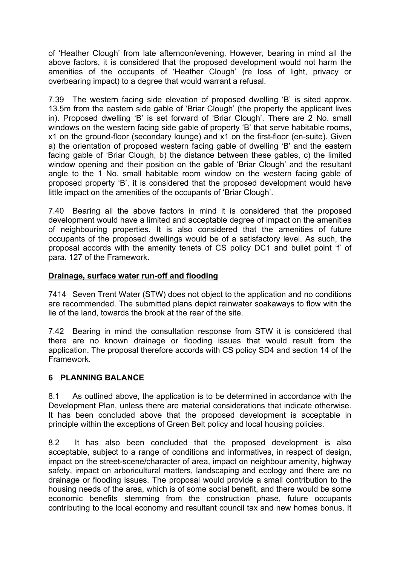of 'Heather Clough' from late afternoon/evening. However, bearing in mind all the above factors, it is considered that the proposed development would not harm the amenities of the occupants of 'Heather Clough' (re loss of light, privacy or overbearing impact) to a degree that would warrant a refusal.

7.39 The western facing side elevation of proposed dwelling 'B' is sited approx. 13.5m from the eastern side gable of 'Briar Clough' (the property the applicant lives in). Proposed dwelling 'B' is set forward of 'Briar Clough'. There are 2 No. small windows on the western facing side gable of property 'B' that serve habitable rooms, x1 on the ground-floor (secondary lounge) and x1 on the first-floor (en-suite). Given a) the orientation of proposed western facing gable of dwelling 'B' and the eastern facing gable of 'Briar Clough, b) the distance between these gables, c) the limited window opening and their position on the gable of 'Briar Clough' and the resultant angle to the 1 No. small habitable room window on the western facing gable of proposed property 'B', it is considered that the proposed development would have little impact on the amenities of the occupants of 'Briar Clough'.

7.40 Bearing all the above factors in mind it is considered that the proposed development would have a limited and acceptable degree of impact on the amenities of neighbouring properties. It is also considered that the amenities of future occupants of the proposed dwellings would be of a satisfactory level. As such, the proposal accords with the amenity tenets of CS policy DC1 and bullet point 'f' of para. 127 of the Framework.

### **Drainage, surface water run-off and flooding**

7414 Seven Trent Water (STW) does not object to the application and no conditions are recommended. The submitted plans depict rainwater soakaways to flow with the lie of the land, towards the brook at the rear of the site.

7.42 Bearing in mind the consultation response from STW it is considered that there are no known drainage or flooding issues that would result from the application. The proposal therefore accords with CS policy SD4 and section 14 of the Framework.

## **6 PLANNING BALANCE**

8.1 As outlined above, the application is to be determined in accordance with the Development Plan, unless there are material considerations that indicate otherwise. It has been concluded above that the proposed development is acceptable in principle within the exceptions of Green Belt policy and local housing policies.

8.2 It has also been concluded that the proposed development is also acceptable, subject to a range of conditions and informatives, in respect of design, impact on the street-scene/character of area, impact on neighbour amenity, highway safety, impact on arboricultural matters, landscaping and ecology and there are no drainage or flooding issues. The proposal would provide a small contribution to the housing needs of the area, which is of some social benefit, and there would be some economic benefits stemming from the construction phase, future occupants contributing to the local economy and resultant council tax and new homes bonus. It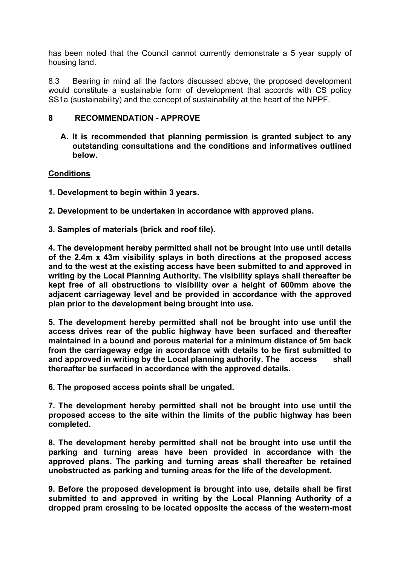has been noted that the Council cannot currently demonstrate a 5 year supply of housing land.

8.3 Bearing in mind all the factors discussed above, the proposed development would constitute a sustainable form of development that accords with CS policy SS1a (sustainability) and the concept of sustainability at the heart of the NPPF.

### **8 RECOMMENDATION - APPROVE**

**A. It is recommended that planning permission is granted subject to any outstanding consultations and the conditions and informatives outlined below.**

### **Conditions**

**1. Development to begin within 3 years.**

**2. Development to be undertaken in accordance with approved plans.**

**3. Samples of materials (brick and roof tile).**

**4. The development hereby permitted shall not be brought into use until details of the 2.4m x 43m visibility splays in both directions at the proposed access and to the west at the existing access have been submitted to and approved in writing by the Local Planning Authority. The visibility splays shall thereafter be kept free of all obstructions to visibility over a height of 600mm above the adjacent carriageway level and be provided in accordance with the approved plan prior to the development being brought into use.**

**5. The development hereby permitted shall not be brought into use until the access drives rear of the public highway have been surfaced and thereafter maintained in a bound and porous material for a minimum distance of 5m back from the carriageway edge in accordance with details to be first submitted to and approved in writing by the Local planning authority. The access shall thereafter be surfaced in accordance with the approved details.**

**6. The proposed access points shall be ungated.**

**7. The development hereby permitted shall not be brought into use until the proposed access to the site within the limits of the public highway has been completed.**

**8. The development hereby permitted shall not be brought into use until the parking and turning areas have been provided in accordance with the approved plans. The parking and turning areas shall thereafter be retained unobstructed as parking and turning areas for the life of the development.**

**9. Before the proposed development is brought into use, details shall be first submitted to and approved in writing by the Local Planning Authority of a dropped pram crossing to be located opposite the access of the western-most**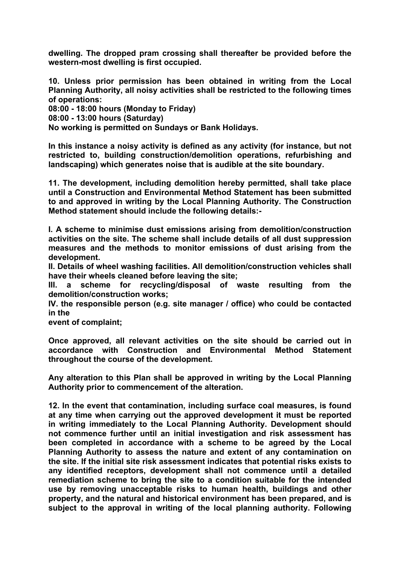**dwelling. The dropped pram crossing shall thereafter be provided before the western-most dwelling is first occupied.**

**10. Unless prior permission has been obtained in writing from the Local Planning Authority, all noisy activities shall be restricted to the following times of operations:**

**08:00 - 18:00 hours (Monday to Friday)**

**08:00 - 13:00 hours (Saturday)**

**No working is permitted on Sundays or Bank Holidays.**

**In this instance a noisy activity is defined as any activity (for instance, but not restricted to, building construction/demolition operations, refurbishing and landscaping) which generates noise that is audible at the site boundary.**

**11. The development, including demolition hereby permitted, shall take place until a Construction and Environmental Method Statement has been submitted to and approved in writing by the Local Planning Authority. The Construction Method statement should include the following details:-**

**I. A scheme to minimise dust emissions arising from demolition/construction activities on the site. The scheme shall include details of all dust suppression measures and the methods to monitor emissions of dust arising from the development.**

**II. Details of wheel washing facilities. All demolition/construction vehicles shall have their wheels cleaned before leaving the site;**

**III. a scheme for recycling/disposal of waste resulting from the demolition/construction works;**

**IV. the responsible person (e.g. site manager / office) who could be contacted in the**

**event of complaint;**

**Once approved, all relevant activities on the site should be carried out in accordance with Construction and Environmental Method Statement throughout the course of the development.**

**Any alteration to this Plan shall be approved in writing by the Local Planning Authority prior to commencement of the alteration.**

**12. In the event that contamination, including surface coal measures, is found at any time when carrying out the approved development it must be reported in writing immediately to the Local Planning Authority. Development should not commence further until an initial investigation and risk assessment has been completed in accordance with a scheme to be agreed by the Local Planning Authority to assess the nature and extent of any contamination on the site. If the initial site risk assessment indicates that potential risks exists to any identified receptors, development shall not commence until a detailed remediation scheme to bring the site to a condition suitable for the intended use by removing unacceptable risks to human health, buildings and other property, and the natural and historical environment has been prepared, and is subject to the approval in writing of the local planning authority. Following**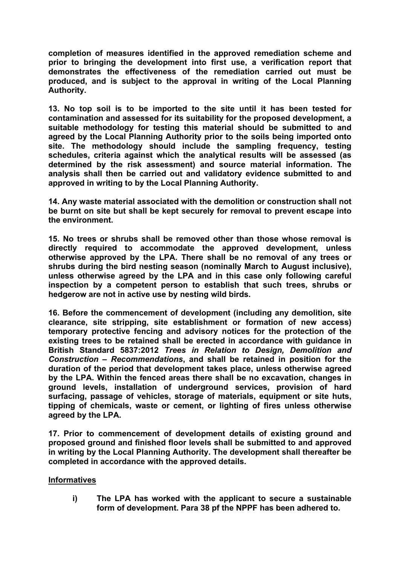**completion of measures identified in the approved remediation scheme and prior to bringing the development into first use, a verification report that demonstrates the effectiveness of the remediation carried out must be produced, and is subject to the approval in writing of the Local Planning Authority.**

**13. No top soil is to be imported to the site until it has been tested for contamination and assessed for its suitability for the proposed development, a suitable methodology for testing this material should be submitted to and agreed by the Local Planning Authority prior to the soils being imported onto site. The methodology should include the sampling frequency, testing schedules, criteria against which the analytical results will be assessed (as determined by the risk assessment) and source material information. The analysis shall then be carried out and validatory evidence submitted to and approved in writing to by the Local Planning Authority.**

**14. Any waste material associated with the demolition or construction shall not be burnt on site but shall be kept securely for removal to prevent escape into the environment.**

**15. No trees or shrubs shall be removed other than those whose removal is directly required to accommodate the approved development, unless otherwise approved by the LPA. There shall be no removal of any trees or shrubs during the bird nesting season (nominally March to August inclusive), unless otherwise agreed by the LPA and in this case only following careful inspection by a competent person to establish that such trees, shrubs or hedgerow are not in active use by nesting wild birds.**

**16. Before the commencement of development (including any demolition, site clearance, site stripping, site establishment or formation of new access) temporary protective fencing and advisory notices for the protection of the existing trees to be retained shall be erected in accordance with guidance in British Standard 5837:2012** *Trees in Relation to Design, Demolition and Construction – Recommendations***, and shall be retained in position for the duration of the period that development takes place, unless otherwise agreed by the LPA. Within the fenced areas there shall be no excavation, changes in ground levels, installation of underground services, provision of hard surfacing, passage of vehicles, storage of materials, equipment or site huts, tipping of chemicals, waste or cement, or lighting of fires unless otherwise agreed by the LPA.**

**17. Prior to commencement of development details of existing ground and proposed ground and finished floor levels shall be submitted to and approved in writing by the Local Planning Authority. The development shall thereafter be completed in accordance with the approved details.**

### **Informatives**

**i) The LPA has worked with the applicant to secure a sustainable form of development. Para 38 pf the NPPF has been adhered to.**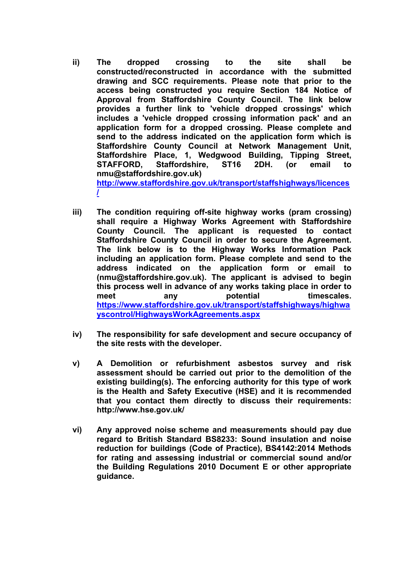**ii) The dropped crossing to the site shall be constructed/reconstructed in accordance with the submitted drawing and SCC requirements. Please note that prior to the access being constructed you require Section 184 Notice of Approval from Staffordshire County Council. The link below provides a further link to 'vehicle dropped crossings' which includes a 'vehicle dropped crossing information pack' and an application form for a dropped crossing. Please complete and send to the address indicated on the application form which is Staffordshire County Council at Network Management Unit, Staffordshire Place, 1, Wedgwood Building, Tipping Street, STAFFORD, Staffordshire, ST16 2DH. (or email to nmu@staffordshire.gov.uk)**

**[http://www.staffordshire.gov.uk/transport/staffshighways/licences](http://www.staffordshire.gov.uk/transport/staffshighways/licences/) [/](http://www.staffordshire.gov.uk/transport/staffshighways/licences/)**

- **iii) The condition requiring off-site highway works (pram crossing) shall require a Highway Works Agreement with Staffordshire County Council. The applicant is requested to contact Staffordshire County Council in order to secure the Agreement. The link below is to the Highway Works Information Pack including an application form. Please complete and send to the address indicated on the application form or email to (nmu@staffordshire.gov.uk). The applicant is advised to begin this process well in advance of any works taking place in order to meet any potential timescales. [https://www.staffordshire.gov.uk/transport/staffshighways/highwa](https://www.staffordshire.gov.uk/transport/staffshighways/highwayscontrol/HighwaysWorkAgreements.aspx) [yscontrol/HighwaysWorkAgreements.aspx](https://www.staffordshire.gov.uk/transport/staffshighways/highwayscontrol/HighwaysWorkAgreements.aspx)**
- **iv) The responsibility for safe development and secure occupancy of the site rests with the developer.**
- **v) A Demolition or refurbishment asbestos survey and risk assessment should be carried out prior to the demolition of the existing building(s). The enforcing authority for this type of work is the Health and Safety Executive (HSE) and it is recommended that you contact them directly to discuss their requirements: http://www.hse.gov.uk/**
- **vi) Any approved noise scheme and measurements should pay due regard to British Standard BS8233: Sound insulation and noise reduction for buildings (Code of Practice), BS4142:2014 Methods for rating and assessing industrial or commercial sound and/or the Building Regulations 2010 Document E or other appropriate guidance.**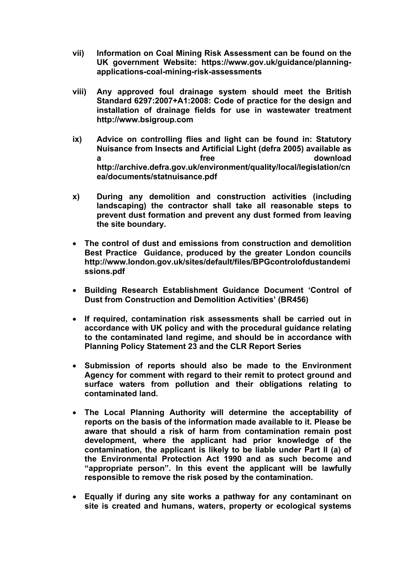- **vii) Information on Coal Mining Risk Assessment can be found on the UK government Website: https://www.gov.uk/guidance/planningapplications-coal-mining-risk-assessments**
- **viii) Any approved foul drainage system should meet the British Standard 6297:2007+A1:2008: Code of practice for the design and installation of drainage fields for use in wastewater treatment http://www.bsigroup.com**
- **ix) Advice on controlling flies and light can be found in: Statutory Nuisance from Insects and Artificial Light (defra 2005) available as a free download http://archive.defra.gov.uk/environment/quality/local/legislation/cn ea/documents/statnuisance.pdf**
- **x) During any demolition and construction activities (including landscaping) the contractor shall take all reasonable steps to prevent dust formation and prevent any dust formed from leaving the site boundary.**
- **The control of dust and emissions from construction and demolition Best Practice Guidance, produced by the greater London councils http://www.london.gov.uk/sites/default/files/BPGcontrolofdustandemi ssions.pdf**
- **Building Research Establishment Guidance Document 'Control of Dust from Construction and Demolition Activities' (BR456)**
- **If required, contamination risk assessments shall be carried out in accordance with UK policy and with the procedural guidance relating to the contaminated land regime, and should be in accordance with Planning Policy Statement 23 and the CLR Report Series**
- **Submission of reports should also be made to the Environment Agency for comment with regard to their remit to protect ground and surface waters from pollution and their obligations relating to contaminated land.**
- **The Local Planning Authority will determine the acceptability of reports on the basis of the information made available to it. Please be aware that should a risk of harm from contamination remain post development, where the applicant had prior knowledge of the contamination, the applicant is likely to be liable under Part II (a) of the Environmental Protection Act 1990 and as such become and "appropriate person". In this event the applicant will be lawfully responsible to remove the risk posed by the contamination.**
- **Equally if during any site works a pathway for any contaminant on site is created and humans, waters, property or ecological systems**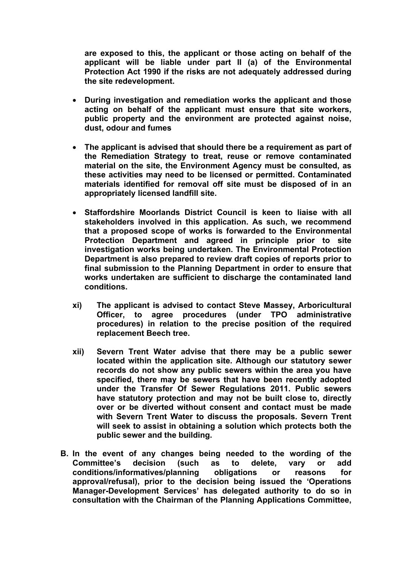**are exposed to this, the applicant or those acting on behalf of the applicant will be liable under part II (a) of the Environmental Protection Act 1990 if the risks are not adequately addressed during the site redevelopment.**

- **During investigation and remediation works the applicant and those acting on behalf of the applicant must ensure that site workers, public property and the environment are protected against noise, dust, odour and fumes**
- **The applicant is advised that should there be a requirement as part of the Remediation Strategy to treat, reuse or remove contaminated material on the site, the Environment Agency must be consulted, as these activities may need to be licensed or permitted. Contaminated materials identified for removal off site must be disposed of in an appropriately licensed landfill site.**
- **Staffordshire Moorlands District Council is keen to liaise with all stakeholders involved in this application. As such, we recommend that a proposed scope of works is forwarded to the Environmental Protection Department and agreed in principle prior to site investigation works being undertaken. The Environmental Protection Department is also prepared to review draft copies of reports prior to final submission to the Planning Department in order to ensure that works undertaken are sufficient to discharge the contaminated land conditions.**
- **xi) The applicant is advised to contact Steve Massey, Arboricultural Officer, to agree procedures (under TPO administrative procedures) in relation to the precise position of the required replacement Beech tree.**
- **xii) Severn Trent Water advise that there may be a public sewer located within the application site. Although our statutory sewer records do not show any public sewers within the area you have specified, there may be sewers that have been recently adopted under the Transfer Of Sewer Regulations 2011. Public sewers have statutory protection and may not be built close to, directly over or be diverted without consent and contact must be made with Severn Trent Water to discuss the proposals. Severn Trent will seek to assist in obtaining a solution which protects both the public sewer and the building.**
- **B. In the event of any changes being needed to the wording of the Committee's decision (such as to delete, vary or add conditions/informatives/planning obligations or reasons for approval/refusal), prior to the decision being issued the 'Operations Manager-Development Services' has delegated authority to do so in consultation with the Chairman of the Planning Applications Committee,**